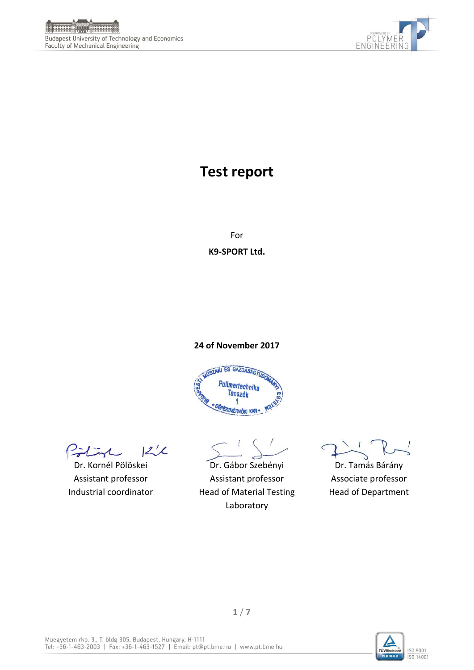



# **Test report**

For **K9-SPORT Ltd.** 

#### **24 of November 2017**



 $122$ Pilint

Dr. Kornél Pölöskei Assistant professor Industrial coordinator

Dr. Gábor Szebényi Assistant professor Head of Material Testing Laboratory

Dr. Tamás Bárány Associate professor Head of Department

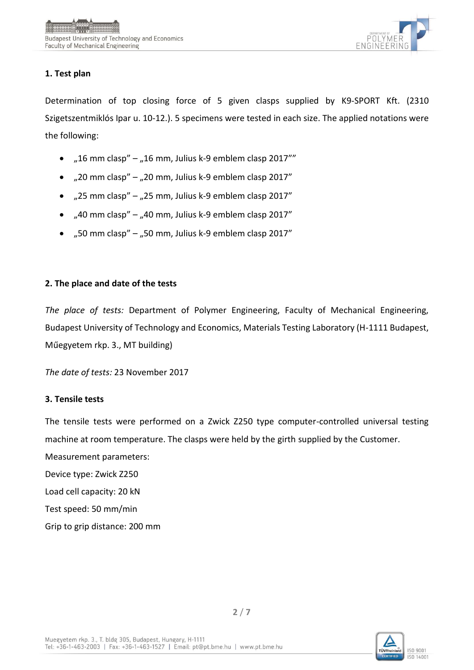

# **1. Test plan**

Determination of top closing force of 5 given clasps supplied by K9-SPORT Kft. (2310 Szigetszentmiklós Ipar u. 10-12.). 5 specimens were tested in each size. The applied notations were the following:

- "16 mm clasp" "16 mm, Julius k-9 emblem clasp 2017""
- $\bullet$  , 20 mm clasp" , 20 mm, Julius k-9 emblem clasp 2017"
- $\bullet$  , 25 mm clasp" , 25 mm, Julius k-9 emblem clasp 2017"
- $\bullet$  ,40 mm clasp" ,40 mm, Julius k-9 emblem clasp 2017"
- $,50$  mm clasp"  $,50$  mm, Julius k-9 emblem clasp 2017"

## **2. The place and date of the tests**

*The place of tests:* Department of Polymer Engineering, Faculty of Mechanical Engineering, Budapest University of Technology and Economics, Materials Testing Laboratory (H-1111 Budapest, Műegyetem rkp. 3., MT building)

*The date of tests:* 23 November 2017

## **3. Tensile tests**

The tensile tests were performed on a Zwick Z250 type computer-controlled universal testing machine at room temperature. The clasps were held by the girth supplied by the Customer.

Measurement parameters:

Device type: Zwick Z250

Load cell capacity: 20 kN

Test speed: 50 mm/min

Grip to grip distance: 200 mm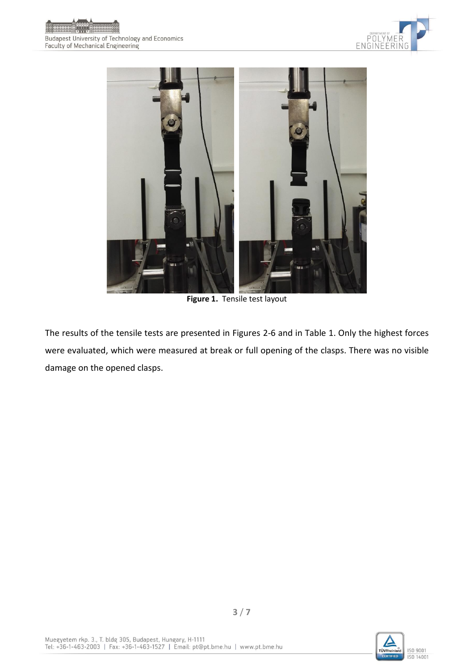





**Figure 1.** Tensile test layout

The results of the tensile tests are presented in Figures 2-6 and in Table 1. Only the highest forces were evaluated, which were measured at break or full opening of the clasps. There was no visible damage on the opened clasps.

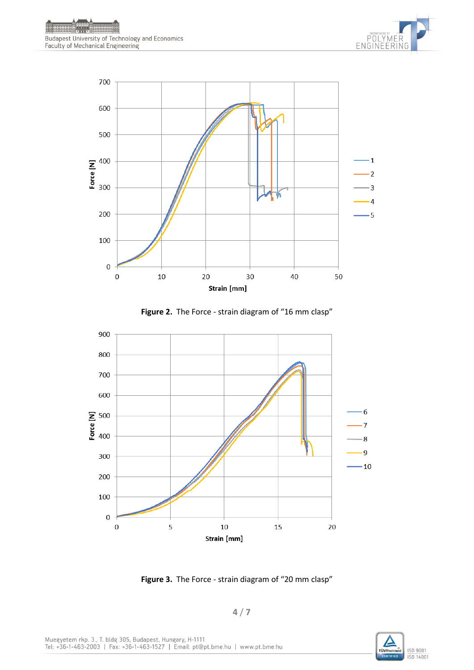









**Figure 3.** The Force - strain diagram of "20 mm clasp"

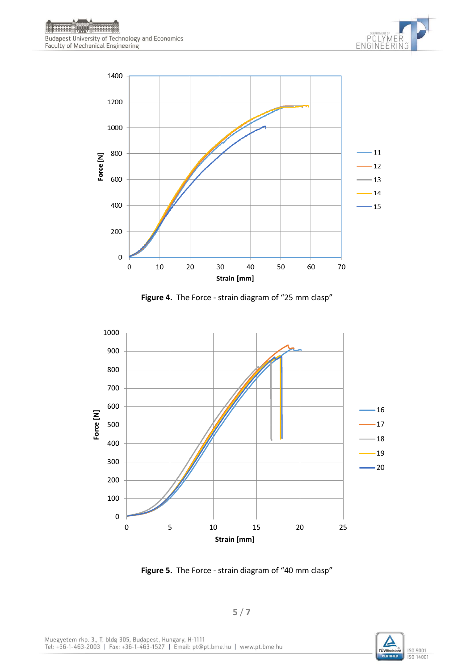



**Figure 4.** The Force - strain diagram of "25 mm clasp"



**Figure 5.** The Force - strain diagram of "40 mm clasp"

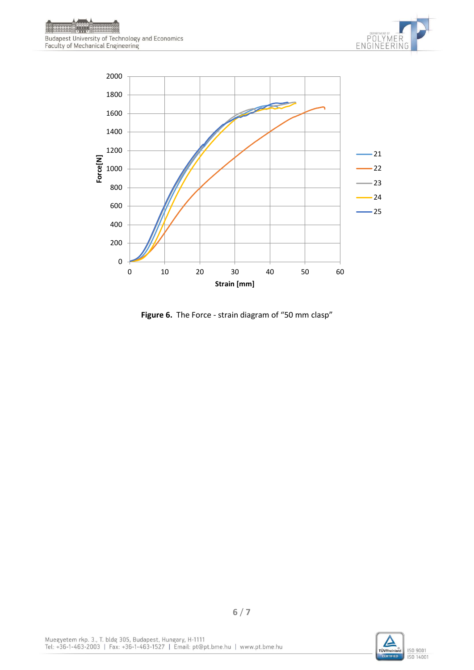



**Figure 6.** The Force - strain diagram of "50 mm clasp"